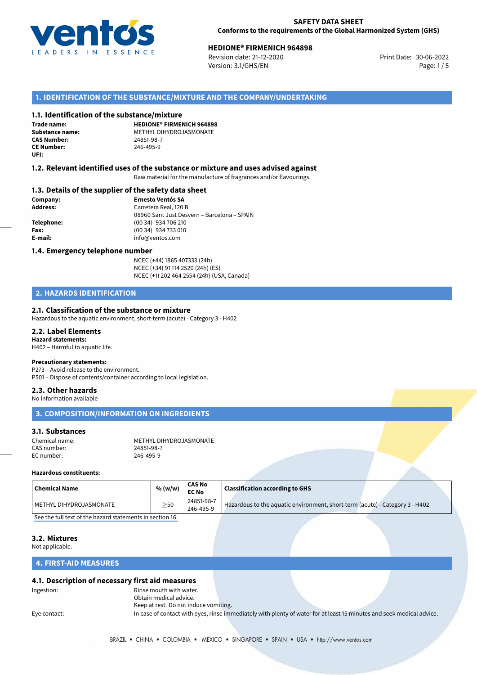

# **HEDIONE® FIRMENICH 964898**<br>30-06-2022 **Revision date: 21-12-2020 Here Here Here Here Here Print Date: 30-06-2022**

Revision date: 21-12-2020 Version: 3.1/GHS/EN Page: 1 / 5

## **1. IDENTIFICATION OF THE SUBSTANCE/MIXTURE AND THE COMPANY/UNDERTAKING**

### **1.1. Identification of the substance/mixture**

**Trade name: CAS Number: CE Number:** 246-495-9 **UFI:**

**HEDIONE® FIRMENICH 964898 Substance name:** METHYL DIHYDROJASMONATE

### **1.2. Relevant identified uses of the substance or mixture and uses advised against**

Raw material for the manufacture of fragrances and/or flavourings.

### **1.3. Details of the supplier of the safety data sheet**

**Company: Ernesto Ventós SA Address:** Carretera Real, 120 B 08960 Sant Just Desvern – Barcelona – SPAIN **Telephone:** (00 34) 934 706 210 **Fax:** (00 34) 934 733 010 **E-mail:** info@ventos.com

### **1.4. Emergency telephone number**

NCEC (+44) 1865 407333 (24h) NCEC (+34) 91 114 2520 (24h) (ES) NCEC (+1) 202 464 2554 (24h) (USA, Canada)

## **2. HAZARDS IDENTIFICATION**

### **2.1. Classification of the substance or mixture**

Hazardous to the aquatic environment, short-term (acute) - Category 3 - H402

### **2.2. Label Elements**

**Hazard statements:** H402 – Harmful to aquatic life.

### **Precautionary statements:**

P273 – Avoid release to the environment. P501 – Dispose of contents/container according to local legislation.

#### **2.3. Other hazards**

No Information available

# **3. COMPOSITION/INFORMATION ON INGREDIENTS**

### **3.1. Substances**

| Chemical name: | METHYL DIHYDROJASMONATE |
|----------------|-------------------------|
| CAS number:    | 24851-98-7              |
| EC number:     | 246-495-9               |

### **Hazardous constituents:**

| 24851-98-7 | <b>Chemical Name</b>    | % (w/w)   | <b>CAS No</b><br><b>EC No</b> | $\,$ Classification according to GHS $\,$                                    |  |
|------------|-------------------------|-----------|-------------------------------|------------------------------------------------------------------------------|--|
|            | METHYL DIHYDROJASMONATE | $\geq$ 50 | 246-495-9                     | Hazardous to the aquatic environment, short-term (acute) - Category 3 - H402 |  |

[See the full text of the hazard statements in section 16.](#page--1-0)

## **3.2. Mixtures**

Not applicable.

### **4. FIRST-AID MEASURES**

### **4.1. Description of necessary first aid measures**

Ingestion: Rinse mouth with water. Obtain medical advice. Keep at rest. Do not induce vomiting.

Eye contact: In case of contact with eyes, rinse immediately with plenty of water for at least 15 minutes and seek medical advice.

BRAZIL • CHINA • COLOMBIA • MEXICO • SINGAPORE • SPAIN • USA • http://www.ventos.com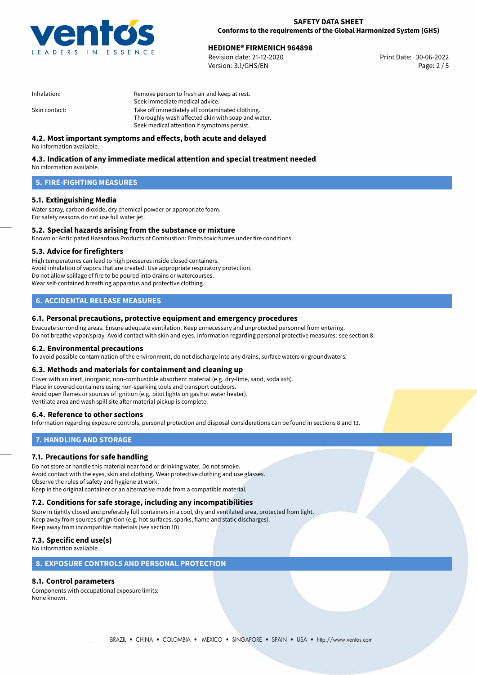

# **HEDIONE® FIRMENICH 964898**<br>30-06-2022 **Revision date: 21-12-2020 Here Here Here Here Here Print Date: 30-06-2022**

Revision date: 21-12-2020 Version: 3.1/GHS/EN Page: 2 / 5

| Inhalation:   | Remove person to fresh air and keep at rest.       |
|---------------|----------------------------------------------------|
|               | Seek immediate medical advice.                     |
| Skin contact: | Take off immediately all contaminated clothing.    |
|               | Thoroughly wash affected skin with soap and water. |
|               | Seek medical attention if symptoms persist.        |

## **4.2. Most important symptoms and effects, both acute and delayed**

No information available.

# **4.3. Indication of any immediate medical attention and special treatment needed**

No information available.

## **5. FIRE-FIGHTING MEASURES**

## **5.1. Extinguishing Media**

Water spray, carbon dioxide, dry chemical powder or appropriate foam. For safety reasons do not use full water jet.

## **5.2. Special hazards arising from the substance or mixture**

Known or Anticipated Hazardous Products of Combustion: Emits toxic fumes under fire conditions.

### **5.3. Advice for firefighters**

High temperatures can lead to high pressures inside closed containers. Avoid inhalation of vapors that are created. Use appropriate respiratory protection. Do not allow spillage of fire to be poured into drains or watercourses. Wear self-contained breathing apparatus and protective clothing.

## **6. ACCIDENTAL RELEASE MEASURES**

### **6.1. Personal precautions, protective equipment and emergency procedures**

Evacuate surronding areas. Ensure adequate ventilation. Keep unnecessary and unprotected personnel from entering. Do not breathe vapor/spray. Avoid contact with skin and eyes. Information regarding personal protective measures: see section 8.

### **6.2. Environmental precautions**

To avoid possible contamination of the environment, do not discharge into any drains, surface waters or groundwaters.

### **6.3. Methods and materials for containment and cleaning up**

Cover with an inert, inorganic, non-combustible absorbent material (e.g. dry-lime, sand, soda ash). Place in covered containers using non-sparking tools and transport outdoors. Avoid open flames or sources of ignition (e.g. pilot lights on gas hot water heater). Ventilate area and wash spill site after material pickup is complete.

### **6.4. Reference to other sections**

Information regarding exposure controls, personal protection and disposal considerations can be found in sections 8 and 13.

## **7. HANDLING AND STORAGE**

### **7.1. Precautions for safe handling**

Do not store or handle this material near food or drinking water. Do not smoke. Avoid contact with the eyes, skin and clothing. Wear protective clothing and use glasses. Observe the rules of safety and hygiene at work. Keep in the original container or an alternative made from a compatible material.

# **7.2. Conditions for safe storage, including any incompatibilities**

Store in tightly closed and preferably full containers in a cool, dry and ventilated area, protected from light. Keep away from sources of ignition (e.g. hot surfaces, sparks, flame and static discharges). Keep away from incompatible materials (see section 10).

## **7.3. Specific end use(s)**

No information available.

## **8. EXPOSURE CONTROLS AND PERSONAL PROTECTION**

## **8.1. Control parameters**

Components with occupational exposure limits: None known.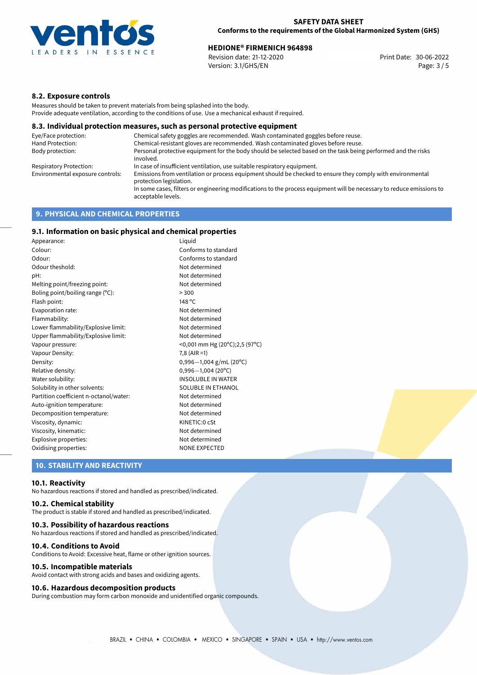

# **HEDIONE® FIRMENICH 964898**<br>
Revision date: 21-12-2020<br> **Revision date: 21-12-2020**

Revision date: 21-12-2020 Version: 3.1/GHS/EN Page: 3 / 5

## **8.2. Exposure controls**

Measures should be taken to prevent materials from being splashed into the body. Provide adequate ventilation, according to the conditions of use. Use a mechanical exhaust if required.

### **8.3. Individual protection measures, such as personal protective equipment**

| Eye/Face protection:             | Chemical safety goggles are recommended. Wash contaminated goggles before reuse.                                                            |
|----------------------------------|---------------------------------------------------------------------------------------------------------------------------------------------|
| Hand Protection:                 | Chemical-resistant gloves are recommended. Wash contaminated gloves before reuse.                                                           |
| Body protection:                 | Personal protective equipment for the body should be selected based on the task being performed and the risks<br>involved.                  |
| Respiratory Protection:          | In case of insufficient ventilation, use suitable respiratory equipment.                                                                    |
| Environmental exposure controls: | Emissions from ventilation or process equipment should be checked to ensure they comply with environmental<br>protection legislation.       |
|                                  | In some cases, filters or engineering modifications to the process equipment will be necessary to reduce emissions to<br>acceptable levels. |
|                                  |                                                                                                                                             |

## **9. PHYSICAL AND CHEMICAL PROPERTIES**

## **9.1. Information on basic physical and chemical properties**

| Appearance:                            | Liguid                                 |
|----------------------------------------|----------------------------------------|
| Colour:                                | Conforms to standard                   |
| Odour:                                 | Conforms to standard                   |
| Odour theshold:                        | Not determined                         |
| pH:                                    | Not determined                         |
| Melting point/freezing point:          | Not determined                         |
| Boling point/boiling range (°C):       | > 300                                  |
| Flash point:                           | 148 °C                                 |
| Evaporation rate:                      | Not determined                         |
| Flammability:                          | Not determined                         |
| Lower flammability/Explosive limit:    | Not determined                         |
| Upper flammability/Explosive limit:    | Not determined                         |
| Vapour pressure:                       | <0,001 mm Hg (20°C);2,5 (97°C)         |
| Vapour Density:                        | $7,8$ (AIR =1)                         |
| Density:                               | $0,996-1,004$ g/mL (20 <sup>o</sup> C) |
| Relative density:                      | $0,996 - 1,004$ (20°C)                 |
| Water solubility:                      | <b>INSOLUBLE IN WATER</b>              |
| Solubility in other solvents:          | SOLUBLE IN ETHANOL                     |
| Partition coefficient n-octanol/water: | Not determined                         |
| Auto-ignition temperature:             | Not determined                         |
| Decomposition temperature:             | Not determined                         |
| Viscosity, dynamic:                    | KINETIC:0 cSt                          |
| Viscosity, kinematic:                  | Not determined                         |
| Explosive properties:                  | Not determined                         |
| Oxidising properties:                  | <b>NONE EXPECTED</b>                   |

### **10. STABILITY AND REACTIVITY**

#### **10.1. Reactivity**

No hazardous reactions if stored and handled as prescribed/indicated.

## **10.2. Chemical stability**

The product is stable if stored and handled as prescribed/indicated.

### **10.3. Possibility of hazardous reactions**

No hazardous reactions if stored and handled as prescribed/indicated.

#### **10.4. Conditions to Avoid**

Conditions to Avoid: Excessive heat, flame or other ignition sources.

### **10.5. Incompatible materials**

Avoid contact with strong acids and bases and oxidizing agents.

### **10.6. Hazardous decomposition products**

During combustion may form carbon monoxide and unidentified organic compounds.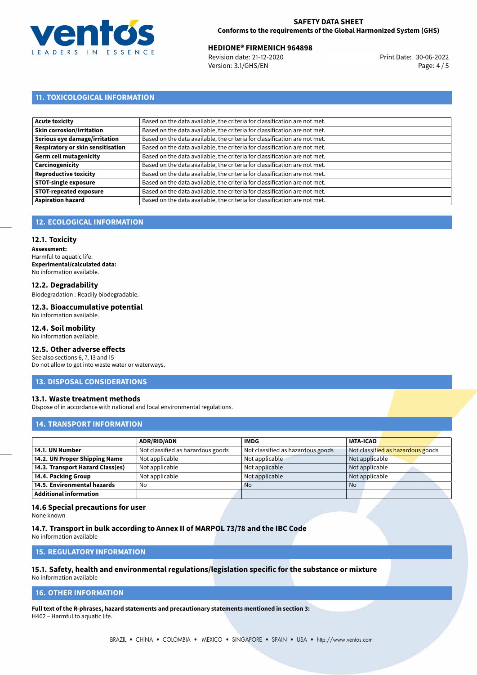

# **HEDIONE® FIRMENICH 964898**<br>
Revision date: 21-12-2020<br> **Revision date: 21-12-2020**

Revision date: 21-12-2020 Version: 3.1/GHS/EN Page: 4 / 5

# **11. TOXICOLOGICAL INFORMATION**

| Based on the data available, the criteria for classification are not met. |
|---------------------------------------------------------------------------|
| Based on the data available, the criteria for classification are not met. |
| Based on the data available, the criteria for classification are not met. |
| Based on the data available, the criteria for classification are not met. |
| Based on the data available, the criteria for classification are not met. |
| Based on the data available, the criteria for classification are not met. |
| Based on the data available, the criteria for classification are not met. |
| Based on the data available, the criteria for classification are not met. |
| Based on the data available, the criteria for classification are not met. |
| Based on the data available, the criteria for classification are not met. |
|                                                                           |

# **12. ECOLOGICAL INFORMATION**

### **12.1. Toxicity**

**Assessment:** Harmful to aquatic life. **Experimental/calculated data:** No information available.

### **12.2. Degradability**

Biodegradation : Readily biodegradable.

#### **12.3. Bioaccumulative potential** No information available.

### **12.4. Soil mobility**

No information available.

### **12.5. Other adverse effects**

See also sections 6, 7, 13 and 15 Do not allow to get into waste water or waterways.

### **13. DISPOSAL CONSIDERATIONS**

### **13.1. Waste treatment methods**

Dispose of in accordance with national and local environmental regulations.

## **14. TRANSPORT INFORMATION**

|                                  | <b>ADR/RID/ADN</b>                | <b>IMDG</b>                       | <b>IATA-ICAO</b>                  |
|----------------------------------|-----------------------------------|-----------------------------------|-----------------------------------|
| 14.1. UN Number                  | Not classified as hazardous goods | Not classified as hazardous goods | Not classified as hazardous goods |
| 14.2. UN Proper Shipping Name    | Not applicable                    | Not applicable                    | Not applicable                    |
| 14.3. Transport Hazard Class(es) | Not applicable                    | Not applicable                    | Not applicable                    |
| 14.4. Packing Group              | Not applicable                    | Not applicable                    | Not applicable                    |
| 14.5. Environmental hazards      | No                                | <b>No</b>                         | No.                               |
| Additional information           |                                   |                                   |                                   |

## **14.6 Special precautions for user**

None known

### **14.7. Transport in bulk according to Annex II of MARPOL 73/78 and the IBC Code**

No information available

## **15. REGULATORY INFORMATION**

#### **15.1. Safety, health and environmental regulations/legislation specific for the substance or mixture** No information available

### **16. OTHER INFORMATION**

**Full text of the R-phrases, hazard statements and precautionary statements mentioned in section 3:** H402 – Harmful to aquatic life.